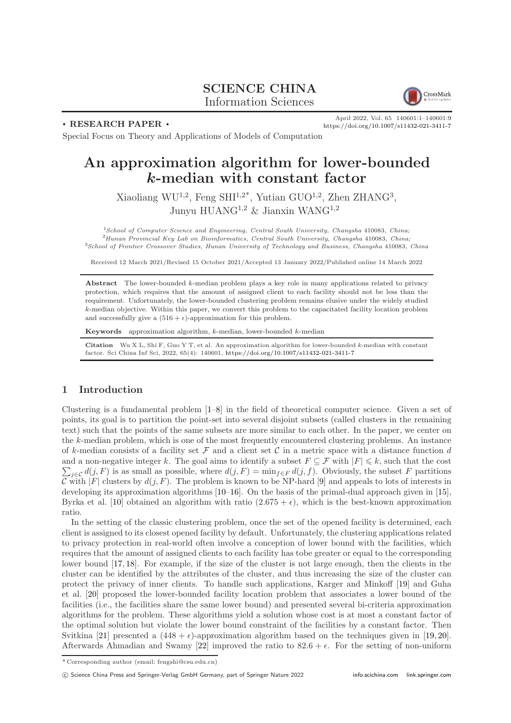# SCIENCE CHINA Information Sciences



. RESEARCH PAPER .

April 2022, Vol. 65 140601:1–140601[:9](#page-8-0) <https://doi.org/10.1007/s11432-021-3411-7>

Special Focus on Theory and Applications of Models of Computation

# An approximation algorithm for lower-bounded k-median with constant factor

Xiaoliang WU<sup>1,2</sup>, Feng SHI<sup>1,2\*</sup>, Yutian GUO<sup>1,2</sup>, Zhen ZHANG<sup>3</sup>, Junyu HUANG1,2 & Jianxin WANG1,2

<sup>1</sup>School of Computer Science and Engineering, Central South University, Changsha 410083, China; <sup>2</sup>Hunan Provincial Key Lab on Bioinformatics, Central South University, Changsha 410083, China; <sup>3</sup>School of Frontier Crossover Studies, Hunan University of Technology and Business, Changsha 410083, China

Received 12 March 2021/Revised 15 October 2021/Accepted 13 January 2022/Published online 14 March 2022

Abstract The lower-bounded  $k$ -median problem plays a key role in many applications related to privacy protection, which requires that the amount of assigned client to each facility should not be less than the requirement. Unfortunately, the lower-bounded clustering problem remains elusive under the widely studied k-median objective. Within this paper, we convert this problem to the capacitated facility location problem and successfully give a  $(516 + \epsilon)$ -approximation for this problem.

Keywords approximation algorithm,  $k$ -median, lower-bounded  $k$ -median

Citation Wu X L, Shi F, Guo Y T, et al. An approximation algorithm for lower-bounded k-median with constant factor. Sci China Inf Sci, 2022, 65(4): 140601, <https://doi.org/10.1007/s11432-021-3411-7>

## 1 Introduction

Clustering is a fundamental problem [\[1](#page-8-1)[–8\]](#page-8-2) in the field of theoretical computer science. Given a set of points, its goal is to partition the point-set into several disjoint subsets (called clusters in the remaining text) such that the points of the same subsets are more similar to each other. In the paper, we center on the k-median problem, which is one of the most frequently encountered clustering problems. An instance of k-median consists of a facility set  $\mathcal F$  and a client set C in a metric space with a distance function d  $\sum_{j\in\mathcal{C}}d(j,F)$  is as small as possible, where  $d(j,F) = \min_{f\in F}d(j,f)$ . Obviously, the subset F partitions and a non-negative integer k. The goal aims to identify a subset  $F \subseteq \mathcal{F}$  with  $|F| \leq k$ , such that the cost C with  $|F|$  clusters by  $d(j, F)$ . The problem is known to be NP-hard [\[9\]](#page-8-3) and appeals to lots of interests in developing its approximation algorithms [\[10](#page-8-4)[–16\]](#page-8-5). On the basis of the primal-dual approach given in [\[15\]](#page-8-6), Byrka et al. [\[10\]](#page-8-4) obtained an algorithm with ratio  $(2.675 + \epsilon)$ , which is the best-known approximation ratio.

In the setting of the classic clustering problem, once the set of the opened facility is determined, each client is assigned to its closest opened facility by default. Unfortunately, the clustering applications related to privacy protection in real-world often involve a conception of lower bound with the facilities, which requires that the amount of assigned clients to each facility has tobe greater or equal to the corresponding lower bound [\[17,](#page-8-7) [18\]](#page-8-8). For example, if the size of the cluster is not large enough, then the clients in the cluster can be identified by the attributes of the cluster, and thus increasing the size of the cluster can protect the privacy of inner clients. To handle such applications, Karger and Minkoff [\[19\]](#page-8-9) and Guha et al. [\[20\]](#page-8-10) proposed the lower-bounded facility location problem that associates a lower bound of the facilities (i.e., the facilities share the same lower bound) and presented several bi-criteria approximation algorithms for the problem. These algorithms yield a solution whose cost is at most a constant factor of the optimal solution but violate the lower bound constraint of the facilities by a constant factor. Then Svitkina [\[21\]](#page-8-11) presented a  $(448 + \epsilon)$ -approximation algorithm based on the techniques given in [\[19,](#page-8-9) [20\]](#page-8-10). Afterwards Ahmadian and Swamy [\[22\]](#page-8-12) improved the ratio to  $82.6 + \epsilon$ . For the setting of non-uniform

<sup>\*</sup> Corresponding author (email: fengshi@csu.edu.cn)

c Science China Press and Springer-Verlag GmbH Germany, part of Springer Nature 2022 <info.scichina.com><link.springer.com>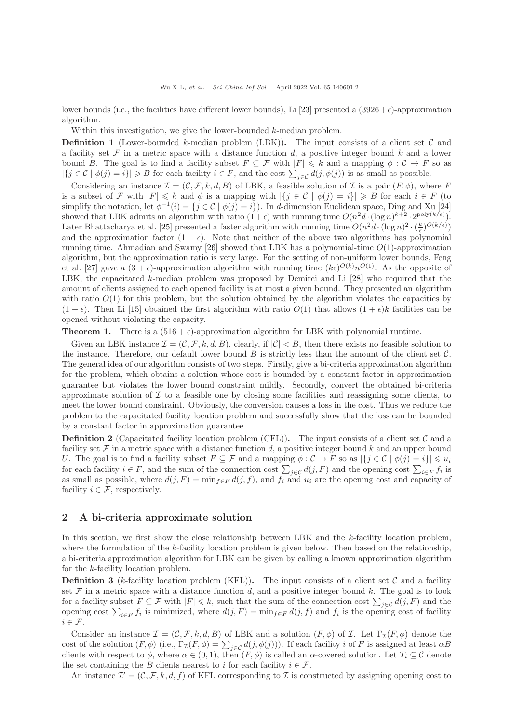lower bounds (i.e., the facilities have different lower bounds), Li [\[23\]](#page-8-13) presented a  $(3926+\epsilon)$ -approximation algorithm.

Within this investigation, we give the lower-bounded k-median problem.

**Definition 1** (Lower-bounded k-median problem (LBK)). The input consists of a client set  $\mathcal{C}$  and a facility set  $\mathcal F$  in a metric space with a distance function d, a positive integer bound k and a lower bound B. The goal is to find a facility subset  $F \subseteq \mathcal{F}$  with  $|F| \leq k$  and a mapping  $\phi : \mathcal{C} \to F$  so as  $|\{j \in \mathcal{C} \mid \phi(j) = i\}| \geq B$  for each facility  $i \in F$ , and the cost  $\sum_{j \in \mathcal{C}} d(j, \phi(j))$  is as small as possible.

Considering an instance  $\mathcal{I} = (\mathcal{C}, \mathcal{F}, k, d, B)$  of LBK, a feasible solution of  $\mathcal{I}$  is a pair  $(F, \phi)$ , where F is a subset of F with  $|F| \leq k$  and  $\phi$  is a mapping with  $|\{j \in \mathcal{C} \mid \phi(j) = i\}| \geq B$  for each  $i \in F$  (to simplify the notation, let  $\phi^{-1}(i) = \{j \in \mathcal{C} \mid \phi(j) = i\}$ . In d-dimension Euclidean space, Ding and Xu [\[24\]](#page-8-14) showed that LBK admits an algorithm with ratio  $(1+\epsilon)$  with running time  $O(n^2d \cdot (\log n)^{k+2} \cdot 2^{\text{poly}(k/\epsilon)})$ . Later Bhattacharya et al. [\[25\]](#page-8-15) presented a faster algorithm with running time  $O(n^2d \cdot (\log n)^2 \cdot (\frac{k}{\epsilon})^{O(k/\epsilon)})$ and the approximation factor  $(1 + \epsilon)$ . Note that neither of the above two algorithms has polynomial running time. Ahmadian and Swamy [\[26\]](#page-8-16) showed that LBK has a polynomial-time  $O(1)$ -approximation algorithm, but the approximation ratio is very large. For the setting of non-uniform lower bounds, Feng et al. [\[27\]](#page-8-17) gave a  $(3 + \epsilon)$ -approximation algorithm with running time  $(k\epsilon)^{O(k)}n^{O(1)}$ . As the opposite of LBK, the capacitated k-median problem was proposed by Demirci and Li [\[28\]](#page-8-18) who required that the amount of clients assigned to each opened facility is at most a given bound. They presented an algorithm with ratio  $O(1)$  for this problem, but the solution obtained by the algorithm violates the capacities by  $(1 + \epsilon)$ . Then Li [\[15\]](#page-8-6) obtained the first algorithm with ratio  $O(1)$  that allows  $(1 + \epsilon)k$  facilities can be opened without violating the capacity.

<span id="page-1-0"></span>**Theorem 1.** There is a  $(516 + \epsilon)$ -approximation algorithm for LBK with polynomial runtime.

Given an LBK instance  $\mathcal{I} = (\mathcal{C}, \mathcal{F}, k, d, B)$ , clearly, if  $|\mathcal{C}| < B$ , then there exists no feasible solution to the instance. Therefore, our default lower bound  $B$  is strictly less than the amount of the client set  $C$ . The general idea of our algorithm consists of two steps. Firstly, give a bi-criteria approximation algorithm for the problem, which obtains a solution whose cost is bounded by a constant factor in approximation guarantee but violates the lower bound constraint mildly. Secondly, convert the obtained bi-criteria approximate solution of  $\mathcal I$  to a feasible one by closing some facilities and reassigning some clients, to meet the lower bound constraint. Obviously, the conversion causes a loss in the cost. Thus we reduce the problem to the capacitated facility location problem and successfully show that the loss can be bounded by a constant factor in approximation guarantee.

**Definition 2** (Capacitated facility location problem (CFL)). The input consists of a client set  $\mathcal{C}$  and a facility set  $\mathcal F$  in a metric space with a distance function d, a positive integer bound k and an upper bound U. The goal is to find a facility subset  $F \subseteq \mathcal{F}$  and a mapping  $\phi : \mathcal{C} \to F$  so as  $|\{j \in \mathcal{C} \mid \phi(j) = i\}| \leq u_i$ for each facility  $i \in F$ , and the sum of the connection cost  $\sum_{j \in C} d(j, F)$  and the opening cost  $\sum_{i \in F} f_i$  is as small as possible, where  $d(j, F) = \min_{f \in F} d(j, f)$ , and  $f_i$  and  $u_i$  are the opening cost and capacity of facility  $i \in \mathcal{F}$ , respectively.

### 2 A bi-criteria approximate solution

In this section, we first show the close relationship between LBK and the k-facility location problem, where the formulation of the k-facility location problem is given below. Then based on the relationship, a bi-criteria approximation algorithm for LBK can be given by calling a known approximation algorithm for the k-facility location problem.

**Definition 3** (k-facility location problem (KFL)). The input consists of a client set  $\mathcal{C}$  and a facility set  $\mathcal F$  in a metric space with a distance function  $d$ , and a positive integer bound  $k$ . The goal is to look for a facility subset  $F \subseteq \mathcal{F}$  with  $|F| \leq k$ , such that the sum of the connection cost  $\sum_{j \in \mathcal{C}} d(j, F)$  and the opening cost  $\sum_{i\in F} f_i$  is minimized, where  $d(j, F) = \min_{f\in F} d(j, f)$  and  $f_i$  is the opening cost of facility  $i \in \mathcal{F}$ .

Consider an instance  $\mathcal{I} = (\mathcal{C}, \mathcal{F}, k, d, B)$  of LBK and a solution  $(F, \phi)$  of  $\mathcal{I}$ . Let  $\Gamma_{\mathcal{I}}(F, \phi)$  denote the cost of the solution  $(F, \phi)$  (i.e.,  $\Gamma_{\mathcal{I}}(F, \phi) = \sum_{j \in \mathcal{C}} d(j, \phi(j)))$ ). If each facility i of F is assigned at least  $\alpha B$ clients with respect to  $\phi$ , where  $\alpha \in (0,1)$ , then  $(F, \phi)$  is called an  $\alpha$ -covered solution. Let  $T_i \subseteq \mathcal{C}$  denote the set containing the B clients nearest to i for each facility  $i \in \mathcal{F}$ .

An instance  $\mathcal{I}' = (\mathcal{C}, \mathcal{F}, k, d, f)$  of KFL corresponding to  $\mathcal{I}$  is constructed by assigning opening cost to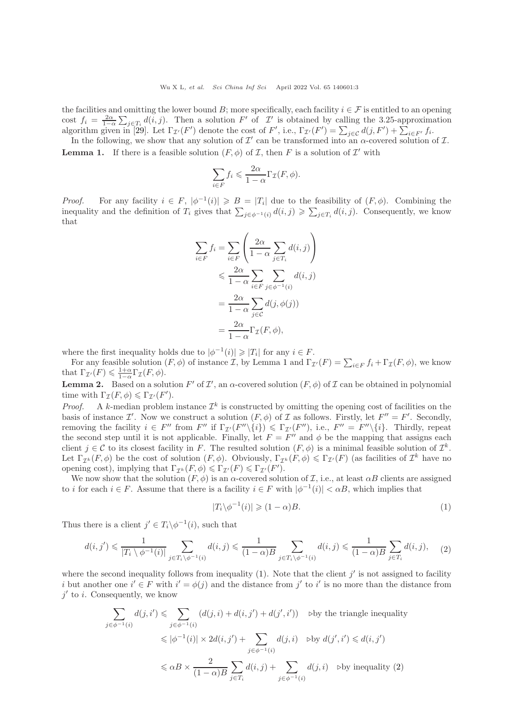the facilities and omitting the lower bound B; more specifically, each facility  $i \in \mathcal{F}$  is entitled to an opening cost  $f_i = \frac{2\alpha}{1-\alpha} \sum_{j \in T_i} d(i,j)$ . Then a solution F' of I' is obtained by calling the 3.25-approximation algorithm given in [\[29\]](#page-8-19). Let  $\Gamma_{\mathcal{I}'}(F')$  denote the cost of F', i.e.,  $\Gamma_{\mathcal{I}'}(F') = \sum_{j \in \mathcal{C}} d(j, F') + \sum_{i \in F'} f_i$ .

<span id="page-2-0"></span>In the following, we show that any solution of  $\mathcal{I}'$  can be transformed into an  $\alpha$ -covered solution of  $\mathcal{I}$ . **Lemma 1.** If there is a feasible solution  $(F, \phi)$  of  $\mathcal{I}$ , then  $F$  is a solution of  $\mathcal{I}'$  with

$$
\sum_{i \in F} f_i \leqslant \frac{2\alpha}{1-\alpha} \Gamma_{\mathcal{I}}(F, \phi).
$$

*Proof.* For any facility  $i \in F$ ,  $|\phi^{-1}(i)| \geq B = |T_i|$  due to the feasibility of  $(F, \phi)$ . Combining the inequality and the definition of  $T_i$  gives that  $\sum_{j \in \phi^{-1}(i)} d(i,j) \geq \sum_{j \in T_i} d(i,j)$ . Consequently, we know that

$$
\sum_{i \in F} f_i = \sum_{i \in F} \left( \frac{2\alpha}{1 - \alpha} \sum_{j \in T_i} d(i, j) \right)
$$
  

$$
\leqslant \frac{2\alpha}{1 - \alpha} \sum_{i \in F} \sum_{j \in \phi^{-1}(i)} d(i, j)
$$
  

$$
= \frac{2\alpha}{1 - \alpha} \sum_{j \in C} d(j, \phi(j))
$$
  

$$
= \frac{2\alpha}{1 - \alpha} \Gamma_{\mathcal{I}}(F, \phi),
$$

where the first inequality holds due to  $|\phi^{-1}(i)| \geq |T_i|$  for any  $i \in F$ .

For any feasible solution  $(F, \phi)$  of instance  $\mathcal{I}$ , by Lemma [1](#page-2-0) and  $\Gamma_{\mathcal{I}'}(F) = \sum_{i \in F} f_i + \Gamma_{\mathcal{I}}(F, \phi)$ , we know that  $\Gamma_{\mathcal{I}'}(F) \leq \frac{1+\alpha}{1-\alpha} \Gamma_{\mathcal{I}}(F,\phi)$ .

<span id="page-2-3"></span>**Lemma 2.** Based on a solution F' of  $\mathcal{I}'$ , an  $\alpha$ -covered solution  $(F, \phi)$  of  $\mathcal{I}$  can be obtained in polynomial time with  $\Gamma_{\mathcal{I}}(F,\phi) \leq \Gamma_{\mathcal{I}'}(F')$ .

*Proof.* A k-median problem instance  $\mathcal{I}^k$  is constructed by omitting the opening cost of facilities on the basis of instance  $\mathcal{I}'$ . Now we construct a solution  $(F, \phi)$  of  $\mathcal{I}$  as follows. Firstly, let  $F'' = F'$ . Secondly, removing the facility  $i \in F''$  from  $F''$  if  $\Gamma_{\mathcal{I}'}(F''\setminus\{i\}) \leq \Gamma_{\mathcal{I}'}(F''),$  i.e.,  $F'' = F''\setminus\{i\}.$  Thirdly, repeat the second step until it is not applicable. Finally, let  $F = F''$  and  $\phi$  be the mapping that assigns each client  $j \in \mathcal{C}$  to its closest facility in F. The resulted solution  $(F, \phi)$  is a minimal feasible solution of  $\mathcal{I}^k$ . Let  $\Gamma_{\mathcal{I}^k}(F,\phi)$  be the cost of solution  $(F,\phi)$ . Obviously,  $\Gamma_{\mathcal{I}^k}(F,\phi) \leq \Gamma_{\mathcal{I}'}(F)$  (as facilities of  $\mathcal{I}^k$  have no opening cost), implying that  $\Gamma_{\mathcal{I}^k}(F,\phi) \leq \Gamma_{\mathcal{I}'}(F) \leq \Gamma_{\mathcal{I}'}(F')$ .

We now show that the solution  $(F, \phi)$  is an  $\alpha$ -covered solution of  $\mathcal{I}$ , i.e., at least  $\alpha B$  clients are assigned to *i* for each  $i \in F$ . Assume that there is a facility  $i \in F$  with  $|\phi^{-1}(i)| < \alpha B$ , which implies that

<span id="page-2-2"></span><span id="page-2-1"></span>
$$
|T_i \backslash \phi^{-1}(i)| \geq (1 - \alpha)B. \tag{1}
$$

Thus there is a client  $j' \in T_i \backslash \phi^{-1}(i)$ , such that

$$
d(i,j') \leq \frac{1}{|T_i \setminus \phi^{-1}(i)|} \sum_{j \in T_i \setminus \phi^{-1}(i)} d(i,j) \leq \frac{1}{(1-\alpha)B} \sum_{j \in T_i \setminus \phi^{-1}(i)} d(i,j) \leq \frac{1}{(1-\alpha)B} \sum_{j \in T_i} d(i,j), \quad (2)
$$

where the second inequality follows from inequality  $(1)$ . Note that the client j' is not assigned to facility i but another one  $i' \in F$  with  $i' = \phi(j)$  and the distance from j' to i' is no more than the distance from  $j'$  to i. Consequently, we know

$$
\sum_{j \in \phi^{-1}(i)} d(j, i') \leq \sum_{j \in \phi^{-1}(i)} (d(j, i) + d(i, j') + d(j', i')) \quad \text{by the triangle inequality}
$$
\n
$$
\leq |\phi^{-1}(i)| \times 2d(i, j') + \sum_{j \in \phi^{-1}(i)} d(j, i) \quad \text{by } d(j', i') \leq d(i, j')
$$
\n
$$
\leq \alpha B \times \frac{2}{(1 - \alpha)B} \sum_{j \in T_i} d(i, j) + \sum_{j \in \phi^{-1}(i)} d(j, i) \quad \text{by inequality (2)}
$$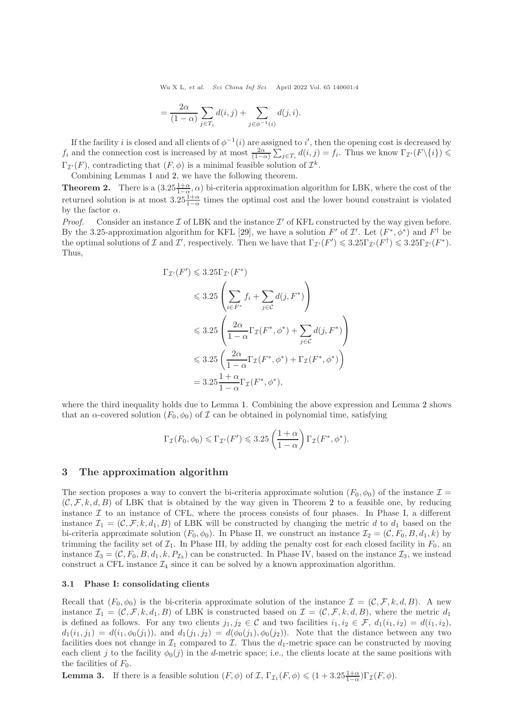Wu X L, et al. Sci China Inf Sci April 2022 Vol. 65 140601:4

$$
= \frac{2\alpha}{(1-\alpha)} \sum_{j \in T_i} d(i,j) + \sum_{j \in \phi^{-1}(i)} d(j,i).
$$

If the facility i is closed and all clients of  $\phi^{-1}(i)$  are assigned to i', then the opening cost is decreased by  $f_i$  and the connection cost is increased by at most  $\frac{2\alpha}{(1-\alpha)}\sum_{j\in T_i} d(i,j) = f_i$ . Thus we know  $\Gamma_{\mathcal{I}'}(F\setminus\{i\}) \leq$  $\Gamma_{\mathcal{I}'}(F)$ , contradicting that  $(F, \phi)$  is a minimal feasible solution of  $\mathcal{I}^k$ .

Combining Lemmas [1](#page-2-0) and [2,](#page-2-3) we have the following theorem.

<span id="page-3-0"></span>**Theorem 2.** There is a  $(3.25\frac{1+\alpha}{1-\alpha}, \alpha)$  bi-criteria approximation algorithm for LBK, where the cost of the returned solution is at most  $3.25\frac{1+\alpha}{1-\alpha}$  times the optimal cost and the lower bound constraint is violated by the factor  $\alpha$ .

*Proof.* Consider an instance  $\mathcal I$  of LBK and the instance  $\mathcal I'$  of KFL constructed by the way given before. By the 3.25-approximation algorithm for KFL [\[29\]](#page-8-19), we have a solution  $F'$  of  $\mathcal{I}'$ . Let  $(F^*, \phi^*)$  and  $F^{\dagger}$  be the optimal solutions of  $\mathcal I$  and  $\mathcal I'$ , respectively. Then we have that  $\Gamma_{\mathcal I'}(F') \leqslant 3.25\Gamma_{\mathcal I'}(F^{\dagger}) \leqslant 3.25\Gamma_{\mathcal I'}(F^{\dagger})$ . Thus,

$$
\Gamma_{\mathcal{I}'}(F') \leqslant 3.25 \Gamma_{\mathcal{I}'}(F^*)
$$
\n
$$
\leqslant 3.25 \left( \sum_{i \in F^*} f_i + \sum_{j \in \mathcal{C}} d(j, F^*) \right)
$$
\n
$$
\leqslant 3.25 \left( \frac{2\alpha}{1 - \alpha} \Gamma_{\mathcal{I}}(F^*, \phi^*) + \sum_{j \in \mathcal{C}} d(j, F^*) \right)
$$
\n
$$
\leqslant 3.25 \left( \frac{2\alpha}{1 - \alpha} \Gamma_{\mathcal{I}}(F^*, \phi^*) + \Gamma_{\mathcal{I}}(F^*, \phi^*) \right)
$$
\n
$$
= 3.25 \frac{1 + \alpha}{1 - \alpha} \Gamma_{\mathcal{I}}(F^*, \phi^*),
$$

where the third inequality holds due to Lemma [1.](#page-2-0) Combining the above expression and Lemma [2](#page-2-3) shows that an  $\alpha$ -covered solution  $(F_0, \phi_0)$  of  $\mathcal I$  can be obtained in polynomial time, satisfying

$$
\Gamma_{\mathcal{I}}(F_0, \phi_0) \leq \Gamma_{\mathcal{I}'}(F') \leq 3.25 \left(\frac{1+\alpha}{1-\alpha}\right) \Gamma_{\mathcal{I}}(F^*, \phi^*).
$$

#### 3 The approximation algorithm

The section proposes a way to convert the bi-criteria approximate solution  $(F_0, \phi_0)$  of the instance  $\mathcal{I} =$  $(C, \mathcal{F}, k, d, B)$  of LBK that is obtained by the way given in Theorem [2](#page-3-0) to a feasible one, by reducing instance  $\mathcal I$  to an instance of CFL, where the process consists of four phases. In Phase I, a different instance  $\mathcal{I}_1 = (\mathcal{C}, \mathcal{F}, k, d_1, B)$  of LBK will be constructed by changing the metric d to  $d_1$  based on the bi-criteria approximate solution  $(F_0, \phi_0)$ . In Phase II, we construct an instance  $\mathcal{I}_2 = (\mathcal{C}, F_0, B, d_1, k)$  by trimming the facility set of  $\mathcal{I}_1$ . In Phase III, by adding the penalty cost for each closed facility in  $F_0$ , an instance  $\mathcal{I}_3 = (\mathcal{C}, F_0, B, d_1, k, P_{\mathcal{I}_3})$  can be constructed. In Phase IV, based on the instance  $\mathcal{I}_3$ , we instead construct a CFL instance  $\mathcal{I}_4$  since it can be solved by a known approximation algorithm.

#### 3.1 Phase I: consolidating clients

Recall that  $(F_0, \phi_0)$  is the bi-criteria approximate solution of the instance  $\mathcal{I} = (\mathcal{C}, \mathcal{F}, k, d, B)$ . A new instance  $\mathcal{I}_1 = (\mathcal{C}, \mathcal{F}, k, d_1, B)$  of LBK is constructed based on  $\mathcal{I} = (\mathcal{C}, \mathcal{F}, k, d, B)$ , where the metric  $d_1$ is defined as follows. For any two clients  $j_1, j_2 \in \mathcal{C}$  and two facilities  $i_1, i_2 \in \mathcal{F}$ ,  $d_1(i_1, i_2) = d(i_1, i_2)$ ,  $d_1(i_1, j_1) = d(i_1, \phi_0(j_1)),$  and  $d_1(j_1, j_2) = d(\phi_0(j_1), \phi_0(j_2)).$  Note that the distance between any two facilities does not change in  $\mathcal{I}_1$  compared to  $\mathcal{I}$ . Thus the  $d_1$ -metric space can be constructed by moving each client j to the facility  $\phi_0(j)$  in the d-metric space; i.e., the clients locate at the same positions with the facilities of  $F_0$ .

**Lemma 3.** If there is a feasible solution  $(F, \phi)$  of  $\mathcal{I}, \Gamma_{\mathcal{I}_1}(F, \phi) \leq (1 + 3.25 \frac{1+\alpha}{1-\alpha}) \Gamma_{\mathcal{I}}(F, \phi)$ .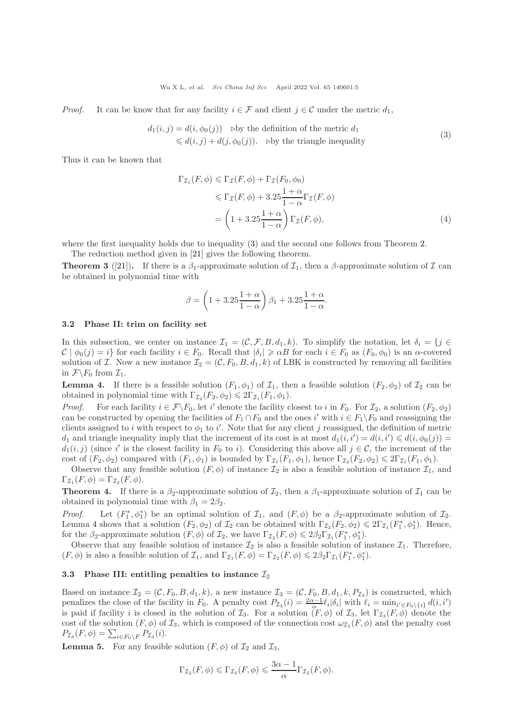*Proof.* It can be know that for any facility  $i \in \mathcal{F}$  and client  $j \in \mathcal{C}$  under the metric  $d_1$ ,

$$
d_1(i,j) = d(i, \phi_0(j)) \text{ by the definition of the metric } d_1
$$
  
\$\leq d(i,j) + d(j, \phi\_0(j))\$. By the triangle inequality\n(3)

Thus it can be known that

<span id="page-4-0"></span>
$$
\Gamma_{\mathcal{I}_1}(F,\phi) \leqslant \Gamma_{\mathcal{I}}(F,\phi) + \Gamma_{\mathcal{I}}(F_0,\phi_0)
$$
\n
$$
\leqslant \Gamma_{\mathcal{I}}(F,\phi) + 3.25 \frac{1+\alpha}{1-\alpha} \Gamma_{\mathcal{I}}(F,\phi)
$$
\n
$$
= \left(1 + 3.25 \frac{1+\alpha}{1-\alpha}\right) \Gamma_{\mathcal{I}}(F,\phi),\tag{4}
$$

where the first inequality holds due to inequality [\(3\)](#page-4-0) and the second one follows from Theorem [2.](#page-3-0)

The reduction method given in [\[21\]](#page-8-11) gives the following theorem.

<span id="page-4-3"></span>**Theorem 3** ([\[21\]](#page-8-11)). If there is a  $\beta_1$ -approximate solution of  $\mathcal{I}_1$ , then a  $\beta$ -approximate solution of  $\mathcal{I}$  can be obtained in polynomial time with

$$
\beta = \left(1 + 3.25 \frac{1 + \alpha}{1 - \alpha}\right) \beta_1 + 3.25 \frac{1 + \alpha}{1 - \alpha}.
$$

#### 3.2 Phase II: trim on facility set

In this subsection, we center on instance  $\mathcal{I}_1 = (\mathcal{C}, \mathcal{F}, B, d_1, k)$ . To simplify the notation, let  $\delta_i = \{j \in \mathcal{I}_i\}$  $\mathcal{C} \mid \phi_0(j) = i$  for each facility  $i \in F_0$ . Recall that  $|\delta_i| \ge \alpha B$  for each  $i \in F_0$  as  $(F_0, \phi_0)$  is an  $\alpha$ -covered solution of I. Now a new instance  $\mathcal{I}_2 = (\mathcal{C}, F_0, B, d_1, k)$  of LBK is constructed by removing all facilities in  $\mathcal{F} \backslash F_0$  from  $\mathcal{I}_1$ .

<span id="page-4-1"></span>**Lemma 4.** If there is a feasible solution  $(F_1, \phi_1)$  of  $\mathcal{I}_1$ , then a feasible solution  $(F_2, \phi_2)$  of  $\mathcal{I}_2$  can be obtained in polynomial time with  $\Gamma_{\mathcal{I}_2}(F_2, \phi_2) \leq 2\Gamma_{\mathcal{I}_1}(F_1, \phi_1)$ .

*Proof.* For each facility  $i \in \mathcal{F} \backslash F_0$ , let i' denote the facility closest to i in  $F_0$ . For  $\mathcal{I}_2$ , a solution  $(F_2, \phi_2)$ can be constructed by opening the facilities of  $F_1 \cap F_0$  and the ones i' with  $i \in F_1 \setminus F_0$  and reassigning the clients assigned to i with respect to  $\phi_1$  to i'. Note that for any client j reassigned, the definition of metric  $d_1$  and triangle inequality imply that the increment of its cost is at most  $d_1(i, i') = d(i, i') \leq d(i, \phi_0(j)) =$  $d_1(i, j)$  (since i' is the closest facility in  $F_0$  to i). Considering this above all  $j \in \mathcal{C}$ , the increment of the cost of  $(F_2, \phi_2)$  compared with  $(F_1, \phi_1)$  is bounded by  $\Gamma_{\mathcal{I}_1}(F_1, \phi_1)$ , hence  $\Gamma_{\mathcal{I}_2}(F_2, \phi_2) \leq 2\Gamma_{\mathcal{I}_1}(F_1, \phi_1)$ .

Observe that any feasible solution  $(F, \phi)$  of instance  $\mathcal{I}_2$  is also a feasible solution of instance  $\mathcal{I}_1$ , and  $\Gamma_{\mathcal{I}_1}(F,\phi) = \Gamma_{\mathcal{I}_2}(F,\phi).$ 

**Theorem 4.** If there is a  $\beta_2$ -approximate solution of  $\mathcal{I}_2$ , then a  $\beta_1$ -approximate solution of  $\mathcal{I}_1$  can be obtained in polynomial time with  $\beta_1 = 2\beta_2$ .

*Proof.* Let  $(F_1^*, \phi_1^*)$  be an optimal solution of  $\mathcal{I}_1$ , and  $(F, \phi)$  be a  $\beta_2$ -approximate solution of  $\mathcal{I}_2$ . Lemma [4](#page-4-1) shows that a solution  $(F_2, \phi_2)$  of  $\mathcal{I}_2$  can be obtained with  $\Gamma_{\mathcal{I}_2}(F_2, \phi_2) \leq 2\Gamma_{\mathcal{I}_1}(F_1^*, \phi_1^*)$ . Hence, for the  $\beta_2$ -approximate solution  $(F, \phi)$  of  $\mathcal{I}_2$ , we have  $\Gamma_{\mathcal{I}_2}(F, \phi) \leq 2\beta_2 \Gamma_{\mathcal{I}_1}(F_1^*, \phi_1^*)$ .

Observe that any feasible solution of instance  $\mathcal{I}_2$  is also a feasible solution of instance  $\mathcal{I}_1$ . Therefore,  $(F, \phi)$  is also a feasible solution of  $\mathcal{I}_1$ , and  $\Gamma_{\mathcal{I}_1}(F, \phi) = \Gamma_{\mathcal{I}_2}(F, \phi) \leq 2\beta_2 \Gamma_{\mathcal{I}_1}(F_1^*, \phi_1^*).$ 

#### 3.3 Phase III: entitling penalties to instance  $\mathcal{I}_2$

Based on instance  $\mathcal{I}_2 = (\mathcal{C}, F_0, B, d_1, k)$ , a new instance  $\mathcal{I}_3 = (\mathcal{C}, F_0, B, d_1, k, P_{\mathcal{I}_3})$  is constructed, which penalizes the close of the facility in  $F_0$ . A penalty cost  $P_{\mathcal{I}_3}(i) = \frac{2\alpha - 1}{\alpha} \ell_i |\delta_i|$  with  $\ell_i = \min_{i' \in F_0 \setminus \{i\}} d(i, i')$ is paid if facility i is closed in the solution of  $\mathcal{I}_3$ . For a solution  $(F, \phi)$  of  $\mathcal{I}_3$ , let  $\Gamma_{\mathcal{I}_3}(F, \phi)$  denote the cost of the solution  $(F, \phi)$  of  $\mathcal{I}_3$ , which is composed of the connection cost  $\omega_{\mathcal{I}_3}(F, \phi)$  and the penalty cost  $P_{\mathcal{I}_3}(F,\phi) = \sum_{i \in F_0 \backslash F} P_{\mathcal{I}_3}(i).$ 

<span id="page-4-2"></span>**Lemma 5.** For any feasible solution  $(F, \phi)$  of  $\mathcal{I}_2$  and  $\mathcal{I}_3$ ,

$$
\Gamma_{\mathcal{I}_2}(F,\phi) \leqslant \Gamma_{\mathcal{I}_3}(F,\phi) \leqslant \frac{3\alpha-1}{\alpha} \Gamma_{\mathcal{I}_2}(F,\phi).
$$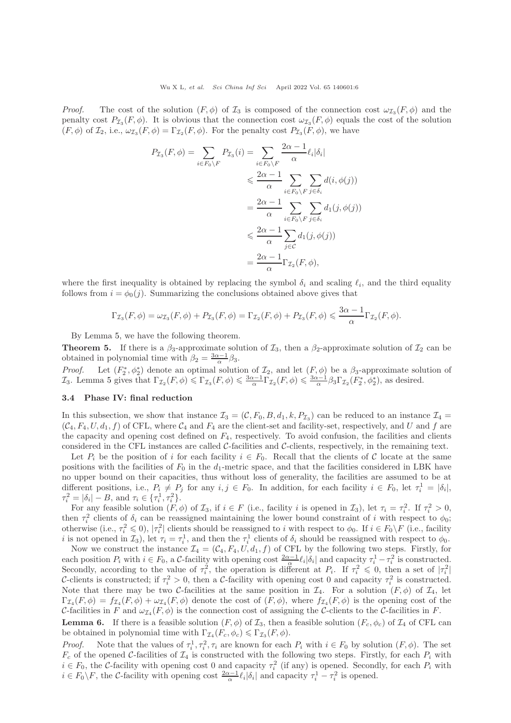*Proof.* The cost of the solution  $(F, \phi)$  of  $\mathcal{I}_3$  is composed of the connection cost  $\omega_{\mathcal{I}_3}(F, \phi)$  and the penalty cost  $P_{\mathcal{I}_3}(F,\phi)$ . It is obvious that the connection cost  $\omega_{\mathcal{I}_3}(F,\phi)$  equals the cost of the solution  $(F, \phi)$  of  $\mathcal{I}_2$ , i.e.,  $\omega_{\mathcal{I}_3}(F, \phi) = \Gamma_{\mathcal{I}_2}(F, \phi)$ . For the penalty cost  $P_{\mathcal{I}_3}(F, \phi)$ , we have

$$
P_{\mathcal{I}_3}(F,\phi) = \sum_{i \in F_0 \setminus F} P_{\mathcal{I}_3}(i) = \sum_{i \in F_0 \setminus F} \frac{2\alpha - 1}{\alpha} \ell_i |\delta_i|
$$
  

$$
\leq \frac{2\alpha - 1}{\alpha} \sum_{i \in F_0 \setminus F} \sum_{j \in \delta_i} d(i, \phi(j))
$$
  

$$
= \frac{2\alpha - 1}{\alpha} \sum_{i \in F_0 \setminus F} \sum_{j \in \delta_i} d_1(j, \phi(j))
$$
  

$$
\leq \frac{2\alpha - 1}{\alpha} \sum_{j \in \mathcal{C}} d_1(j, \phi(j))
$$
  

$$
= \frac{2\alpha - 1}{\alpha} \Gamma_{\mathcal{I}_2}(F, \phi),
$$

where the first inequality is obtained by replacing the symbol  $\delta_i$  and scaling  $\ell_i$ , and the third equality follows from  $i = \phi_0(j)$ . Summarizing the conclusions obtained above gives that

$$
\Gamma_{\mathcal{I}_3}(F,\phi) = \omega_{\mathcal{I}_3}(F,\phi) + P_{\mathcal{I}_3}(F,\phi) = \Gamma_{\mathcal{I}_2}(F,\phi) + P_{\mathcal{I}_3}(F,\phi) \leq \frac{3\alpha - 1}{\alpha} \Gamma_{\mathcal{I}_2}(F,\phi).
$$

By Lemma [5,](#page-4-2) we have the following theorem.

**Theorem 5.** If there is a  $\beta_3$ -approximate solution of  $\mathcal{I}_3$ , then a  $\beta_2$ -approximate solution of  $\mathcal{I}_2$  can be obtained in polynomial time with  $\beta_2 = \frac{3\alpha - 1}{\alpha} \beta_3$ .

*Proof.* Let  $(F_2^*, \phi_2^*)$  denote an optimal solution of  $\mathcal{I}_2$ , and let  $(F, \phi)$  be a  $\beta_3$ -approximate solution of  $\mathcal{I}_3$ . Lemma [5](#page-4-2) gives that  $\Gamma_{\mathcal{I}_2}(F,\phi) \leq \Gamma_{\mathcal{I}_3}(F,\phi) \leq \frac{3\alpha-1}{\alpha} \Gamma_{\mathcal{I}_2}(F,\phi) \leq \frac{3\alpha-1}{\alpha} \beta_3 \Gamma_{\mathcal{I}_2}(F_2^*,\phi_2^*)$ , as desired.

#### 3.4 Phase IV: final reduction

In this subsection, we show that instance  $\mathcal{I}_3 = (\mathcal{C}, F_0, B, d_1, k, P_{\mathcal{I}_3})$  can be reduced to an instance  $\mathcal{I}_4 =$  $(C_4, F_4, U, d_1, f)$  of CFL, where  $C_4$  and  $F_4$  are the client-set and facility-set, respectively, and U and f are the capacity and opening cost defined on  $F_4$ , respectively. To avoid confusion, the facilities and clients considered in the CFL instances are called  $C$ -facilities and  $C$ -clients, respectively, in the remaining text.

Let  $P_i$  be the position of i for each facility  $i \in F_0$ . Recall that the clients of C locate at the same positions with the facilities of  $F_0$  in the  $d_1$ -metric space, and that the facilities considered in LBK have no upper bound on their capacities, thus without loss of generality, the facilities are assumed to be at different positions, i.e.,  $P_i \neq P_j$  for any  $i, j \in F_0$ . In addition, for each facility  $i \in F_0$ , let  $\tau_i^1 = |\delta_i|$ ,  $\tau_i^2 = |\delta_i| - B$ , and  $\tau_i \in {\{\tau_i^1, \tau_i^2\}}$ .

For any feasible solution  $(F, \phi)$  of  $\mathcal{I}_3$ , if  $i \in F$  (i.e., facility i is opened in  $\mathcal{I}_3$ ), let  $\tau_i = \tau_i^2$ . If  $\tau_i^2 > 0$ , then  $\tau_i^2$  clients of  $\delta_i$  can be reassigned maintaining the lower bound constraint of i with respect to  $\phi_0$ ; otherwise (i.e.,  $\tau_i^2 \leq 0$ ),  $|\tau_i^2|$  clients should be reassigned to i with respect to  $\phi_0$ . If  $i \in F_0 \backslash F$  (i.e., facility is not opened in  $\mathcal{I}_3$ ), let  $\tau_i = \tau_i^1$ , and then the  $\tau_i^1$  clients of  $\delta_i$  should be reassigned with respect to  $\phi_0$ .

Now we construct the instance  $\mathcal{I}_4 = (\mathcal{C}_4, F_4, U, d_1, f)$  of CFL by the following two steps. Firstly, for each position  $P_i$  with  $i \in F_0$ , a C-facility with opening cost  $\frac{2\alpha-1}{\alpha}\ell_i|\delta_i|$  and capacity  $\tau_i^1 - \tau_i^2$  is constructed. Secondly, according to the value of  $\tau_i^2$ , the operation is different at  $P_i$ . If  $\tau_i^2 \leq 0$ , then a set of  $|\tau_i^2|$ C-clients is constructed; if  $\tau_i^2 > 0$ , then a C-facility with opening cost 0 and capacity  $\tau_i^2$  is constructed. Note that there may be two C-facilities at the same position in  $\mathcal{I}_4$ . For a solution  $(F, \phi)$  of  $\mathcal{I}_4$ , let  $\Gamma_{\mathcal{I}_4}(F,\phi) = f_{\mathcal{I}_4}(F,\phi) + \omega_{\mathcal{I}_4}(F,\phi)$  denote the cost of  $(F,\phi)$ , where  $f_{\mathcal{I}_4}(F,\phi)$  is the opening cost of the C-facilities in F and  $\omega_{\mathcal{I}_4}(F,\phi)$  is the connection cost of assigning the C-clients to the C-facilities in F.

<span id="page-5-0"></span>**Lemma 6.** If there is a feasible solution  $(F, \phi)$  of  $\mathcal{I}_3$ , then a feasible solution  $(F_c, \phi_c)$  of  $\mathcal{I}_4$  of CFL can be obtained in polynomial time with  $\Gamma_{\mathcal{I}_4}(F_c, \phi_c) \leq \Gamma_{\mathcal{I}_3}(F, \phi)$ .

*Proof.* Note that the values of  $\tau_i^1, \tau_i^2, \tau_i$  are known for each  $P_i$  with  $i \in F_0$  by solution  $(F, \phi)$ . The set  $F_c$  of the opened C-facilities of  $\mathcal{I}_4$  is constructed with the following two steps. Firstly, for each  $P_i$  with  $i \in F_0$ , the C-facility with opening cost 0 and capacity  $\tau_i^2$  (if any) is opened. Secondly, for each  $P_i$  with  $i \in F_0 \backslash F$ , the C-facility with opening cost  $\frac{2\alpha-1}{\alpha} \ell_i |\delta_i|$  and capacity  $\tau_i^1 - \tau_i^2$  is opened.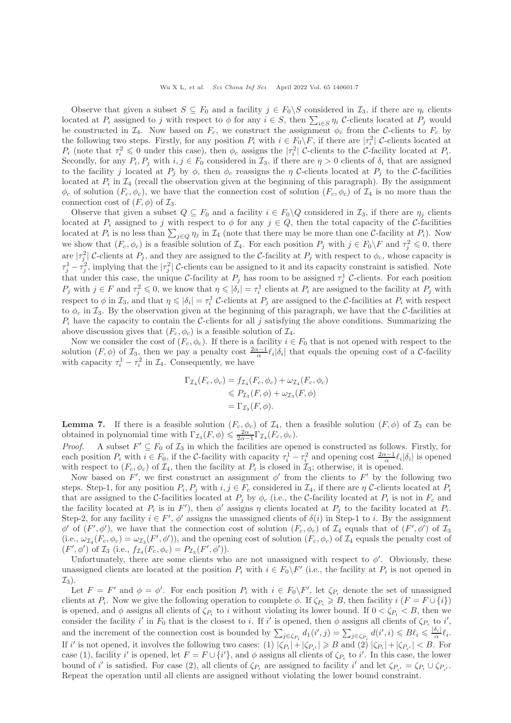Observe that given a subset  $S \subseteq F_0$  and a facility  $j \in F_0 \backslash S$  considered in  $\mathcal{I}_3$ , if there are  $\eta_i$  clients located at  $P_i$  assigned to j with respect to  $\phi$  for any  $i \in S$ , then  $\sum_{i \in S} \eta_i$  C-clients located at  $P_j$  would be constructed in  $\mathcal{I}_4$ . Now based on  $F_c$ , we construct the assignment  $\phi_c$  from the C-clients to  $F_c$  by the following two steps. Firstly, for any position  $P_i$  with  $i \in F_0 \backslash F$ , if there are  $|\tau_i^2|$  C-clients located at  $P_i$  (note that  $\tau_i^2 \leq 0$  under this case), then  $\phi_c$  assigns the  $|\tau_i^2|$  C-clients to the C-facility located at  $P_i$ . Secondly, for any  $P_i, P_j$  with  $i, j \in F_0$  considered in  $\mathcal{I}_3$ , if there are  $\eta > 0$  clients of  $\delta_i$  that are assigned to the facility j located at  $P_j$  by  $\phi$ , then  $\phi_c$  reassigns the  $\eta$  C-clients located at  $P_j$  to the C-facilities located at  $P_i$  in  $\mathcal{I}_4$  (recall the observation given at the beginning of this paragraph). By the assignment  $\phi_c$  of solution  $(F_c, \phi_c)$ , we have that the connection cost of solution  $(F_c, \phi_c)$  of  $\mathcal{I}_4$  is no more than the connection cost of  $(F, \phi)$  of  $\mathcal{I}_3$ .

Observe that given a subset  $Q \subseteq F_0$  and a facility  $i \in F_0 \backslash Q$  considered in  $\mathcal{I}_3$ , if there are  $\eta_j$  clients located at  $P_i$  assigned to j with respect to  $\phi$  for any  $j \in Q$ , then the total capacity of the C-facilities located at  $P_i$  is no less than  $\sum_{j\in Q}\eta_j$  in  $\mathcal{I}_4$  (note that there may be more than one C-facility at  $P_i$ ). Now we show that  $(F_c, \phi_c)$  is a feasible solution of  $\mathcal{I}_4$ . For each position  $P_j$  with  $j \in F_0 \backslash F$  and  $\tau_j^2 \leq 0$ , there are  $|\tau_j^2|$  C-clients at  $P_j$ , and they are assigned to the C-facility at  $P_j$  with respect to  $\phi_c$ , whose capacity is  $\tau_j^1 - \tau_j^2$ , implying that the  $|\tau_j^2|$  C-clients can be assigned to it and its capacity constraint is satisfied. Note that under this case, the unique C-facility at  $P_j$  has room to be assigned  $\tau_j^1$  C-clients. For each position  $P_j$  with  $j \in F$  and  $\tau_j^2 \leq 0$ , we know that  $\eta \leq \vert \delta_i \vert = \tau_i^1$  clients at  $P_i$  are assigned to the facility at  $P_j$  with respect to  $\phi$  in  $\mathcal{I}_3$ , and that  $\eta \leq \vert \delta_i \vert = \tau_i^1$  C-clients at  $P_j$  are assigned to the C-facilities at  $P_i$  with respect to  $\phi_c$  in  $\mathcal{I}_3$ . By the observation given at the beginning of this paragraph, we have that the C-facilities at  $P_i$  have the capacity to contain the C-clients for all j satisfying the above conditions. Summarizing the above discussion gives that  $(F_c, \phi_c)$  is a feasible solution of  $\mathcal{I}_4$ .

Now we consider the cost of  $(F_c, \phi_c)$ . If there is a facility  $i \in F_0$  that is not opened with respect to the solution  $(F, \phi)$  of  $\mathcal{I}_3$ , then we pay a penalty cost  $\frac{2\alpha-1}{\alpha}$ ,  $|\delta_i|$  that equals the opening cost of a C-facility with capacity  $\tau_i^1 - \tau_i^2$  in  $\mathcal{I}_4$ . Consequently, we have

$$
\Gamma_{\mathcal{I}_4}(F_c, \phi_c) = f_{\mathcal{I}_4}(F_c, \phi_c) + \omega_{\mathcal{I}_4}(F_c, \phi_c)
$$
  
\n
$$
\leq P_{\mathcal{I}_3}(F, \phi) + \omega_{\mathcal{I}_3}(F, \phi)
$$
  
\n
$$
= \Gamma_{\mathcal{I}_3}(F, \phi).
$$

<span id="page-6-0"></span>**Lemma 7.** If there is a feasible solution  $(F_c, \phi_c)$  of  $\mathcal{I}_4$ , then a feasible solution  $(F, \phi)$  of  $\mathcal{I}_3$  can be obtained in polynomial time with  $\Gamma_{\mathcal{I}_3}(F,\phi) \leqslant \frac{2\alpha}{2\alpha-1} \Gamma_{\mathcal{I}_4}(F_c,\phi_c)$ .

*Proof.* A subset  $F' \subseteq F_0$  of  $\mathcal{I}_3$  in which the facilities are opened is constructed as follows. Firstly, for each position  $P_i$  with  $i \in F_0$ , if the C-facility with capacity  $\tau_i^1 - \tau_i^2$  and opening cost  $\frac{2\alpha - 1}{\alpha}$   $\ell_i |\delta_i|$  is opened with respect to  $(F_c, \phi_c)$  of  $\mathcal{I}_4$ , then the facility at  $P_i$  is closed in  $\mathcal{I}_3$ ; otherwise, it is opened.

Now based on  $F'$ , we first construct an assignment  $\phi'$  from the clients to  $F'$  by the following two steps. Step-1, for any position  $P_i$ ,  $P_j$  with  $i, j \in F_c$  considered in  $\mathcal{I}_4$ , if there are  $\eta$  C-clients located at  $P_i$ that are assigned to the C-facilities located at  $P_j$  by  $\phi_c$  (i.e., the C-facility located at  $P_i$  is not in  $F_c$  and the facility located at  $P_i$  is in  $F'$ ), then  $\phi'$  assigns  $\eta$  clients located at  $P_j$  to the facility located at  $P_i$ . Step-2, for any facility  $i \in F'$ ,  $\phi'$  assigns the unassigned clients of  $\delta(i)$  in Step-1 to i. By the assignment  $\phi'$  of  $(F', \phi')$ , we have that the connection cost of solution  $(F_c, \phi_c)$  of  $\mathcal{I}_4$  equals that of  $(F', \phi')$  of  $\mathcal{I}_3$ (i.e.,  $\omega_{\mathcal{I}_4}(F_c, \phi_c) = \omega_{\mathcal{I}_3}(F', \phi')$ ), and the opening cost of solution  $(F_c, \phi_c)$  of  $\mathcal{I}_4$  equals the penalty cost of  $(F', \phi')$  of  $\mathcal{I}_3$  (i.e.,  $f_{\mathcal{I}_4}(F_c, \phi_c) = P_{\mathcal{I}_3}(F', \phi')).$ 

Unfortunately, there are some clients who are not unassigned with respect to  $\phi'$ . Obviously, these unassigned clients are located at the position  $P_i$  with  $i \in F_0 \backslash F'$  (i.e., the facility at  $P_i$  is not opened in  $\mathcal{I}_3$ ).

Let  $F = F'$  and  $\phi = \phi'$ . For each position  $P_i$  with  $i \in F_0 \backslash F'$ , let  $\zeta_{P_i}$  denote the set of unassigned clients at  $P_i$ . Now we give the following operation to complete  $\phi$ . If  $\zeta_{P_i} \geq B$ , then facility  $i$  ( $F = F \cup \{i\}$ ) is opened, and  $\phi$  assigns all clients of  $\zeta_{P_i}$  to i without violating its lower bound. If  $0 < \zeta_{P_i} < B$ , then we consider the facility i' in  $F_0$  that is the closest to i. If i' is opened, then  $\phi$  assigns all clients of  $\zeta_{P_i}$  to i', and the increment of the connection cost is bounded by  $\sum_{j \in \zeta_{P_i}} d_1(i',j) = \sum_{j \in \zeta_{P_i}} d(i',i) \leq B\ell_i \leq \frac{|\delta_i|}{\alpha}$  $\frac{\sigma_i}{\alpha} \ell_i.$ If i' is not opened, it involves the following two cases: (1)  $|\zeta_{P_i}| + |\zeta_{P_{i'}}| \ge B$  and (2)  $|\zeta_{P_i}| + |\zeta_{P_{i'}}| < B$ . For case (1), facility i' is opened, let  $F = F \cup \{i'\}$ , and  $\phi$  assigns all clients of  $\zeta_{P_i}$  to i'. In this case, the lower bound of i' is satisfied. For case (2), all clients of  $\zeta_{P_i}$  are assigned to facility i' and let  $\zeta_{P_{i'}} = \zeta_{P_i} \cup \zeta_{P_{i'}}$ . Repeat the operation until all clients are assigned without violating the lower bound constraint.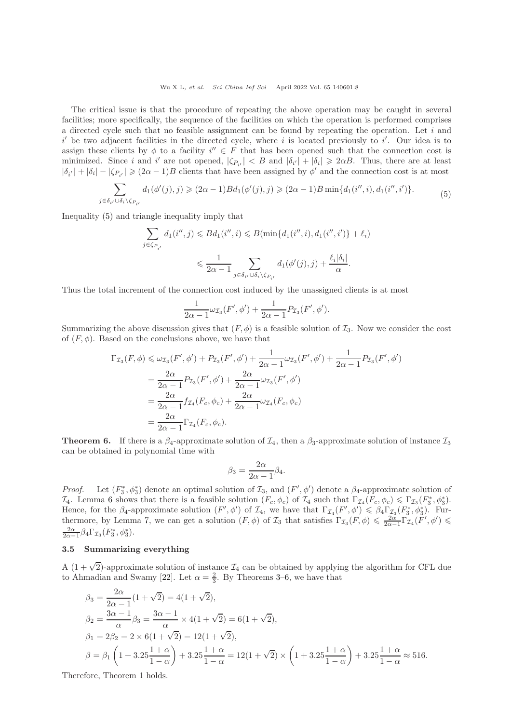Wu X L, et al. Sci China Inf Sci April 2022 Vol. 65 140601:8

The critical issue is that the procedure of repeating the above operation may be caught in several facilities; more specifically, the sequence of the facilities on which the operation is performed comprises a directed cycle such that no feasible assignment can be found by repeating the operation. Let  $i$  and  $i'$  be two adjacent facilities in the directed cycle, where i is located previously to  $i'$ . Our idea is to assign these clients by  $\phi$  to a facility  $i'' \in F$  that has been opened such that the connection cost is minimized. Since i and i' are not opened,  $|\zeta_{P_{i'}}| < B$  and  $|\delta_{i'}| + |\delta_i| \geq 2\alpha B$ . Thus, there are at least  $|\delta_{i'}| + |\delta_i| - |\zeta_{P_{i'}}| \geq (2\alpha - 1)B$  clients that have been assigned by  $\phi'$  and the connection cost is at most

$$
\sum_{j\in\delta_{i'}\cup\delta_i\setminus\zeta_{P_{i'}}}d_1(\phi'(j),j)\geqslant(2\alpha-1)B d_1(\phi'(j),j)\geqslant(2\alpha-1)B\min\{d_1(i'',i),d_1(i'',i')\}.\tag{5}
$$

<span id="page-7-0"></span>Inequality [\(5\)](#page-7-0) and triangle inequality imply that

$$
\sum_{j \in \zeta_{P_{i'}}} d_1(i'', j) \leq B d_1(i'', i) \leq B(\min\{d_1(i'', i), d_1(i'', i')\} + \ell_i)
$$
  

$$
\leq \frac{1}{2\alpha - 1} \sum_{j \in \delta_{i'} \cup \delta_i \setminus \zeta_{P_{i'}}} d_1(\phi'(j), j) + \frac{\ell_i|\delta_i|}{\alpha}.
$$

Thus the total increment of the connection cost induced by the unassigned clients is at most

$$
\frac{1}{2\alpha - 1} \omega_{\mathcal{I}_3}(F', \phi') + \frac{1}{2\alpha - 1} P_{\mathcal{I}_3}(F', \phi').
$$

Summarizing the above discussion gives that  $(F, \phi)$  is a feasible solution of  $\mathcal{I}_3$ . Now we consider the cost of  $(F, \phi)$ . Based on the conclusions above, we have that

$$
\Gamma_{\mathcal{I}_3}(F,\phi) \leq \omega_{\mathcal{I}_3}(F',\phi') + P_{\mathcal{I}_3}(F',\phi') + \frac{1}{2\alpha - 1}\omega_{\mathcal{I}_3}(F',\phi') + \frac{1}{2\alpha - 1}P_{\mathcal{I}_3}(F',\phi')
$$
  
= 
$$
\frac{2\alpha}{2\alpha - 1}P_{\mathcal{I}_3}(F',\phi') + \frac{2\alpha}{2\alpha - 1}\omega_{\mathcal{I}_3}(F',\phi')
$$
  
= 
$$
\frac{2\alpha}{2\alpha - 1}f_{\mathcal{I}_4}(F_c,\phi_c) + \frac{2\alpha}{2\alpha - 1}\omega_{\mathcal{I}_4}(F_c,\phi_c)
$$
  
= 
$$
\frac{2\alpha}{2\alpha - 1}\Gamma_{\mathcal{I}_4}(F_c,\phi_c).
$$

<span id="page-7-1"></span>**Theorem 6.** If there is a  $\beta_4$ -approximate solution of  $\mathcal{I}_4$ , then a  $\beta_3$ -approximate solution of instance  $\mathcal{I}_3$ can be obtained in polynomial time with

$$
\beta_3 = \frac{2\alpha}{2\alpha - 1} \beta_4.
$$

Proof. <sup>\*</sup><sub>3</sub>,  $\phi_3^*$ ) denote an optimal solution of  $\mathcal{I}_3$ , and  $(F', \phi')$  denote a  $\beta_4$ -approximate solution of  $\mathcal{I}_4$ . Lemma [6](#page-5-0) shows that there is a feasible solution  $(F_c, \phi_c)$  of  $\mathcal{I}_4$  such that  $\Gamma_{\mathcal{I}_4}(F_c, \phi_c) \leq \Gamma_{\mathcal{I}_3}(F_3^*, \phi_3^*).$ Hence, for the  $\beta_4$ -approximate solution  $(F', \phi')$  of  $\mathcal{I}_4$ , we have that  $\Gamma_{\mathcal{I}_4}(F', \phi') \leq \beta_4 \Gamma_{\mathcal{I}_3}^*(F_3^*, \phi_3^*)$ . Fur-thermore, by Lemma [7,](#page-6-0) we can get a solution  $(F, \phi)$  of  $\mathcal{I}_3$  that satisfies  $\Gamma_{\mathcal{I}_3}(F, \phi) \leq \frac{2\alpha}{2\alpha-1} \Gamma_{\mathcal{I}_4}(F', \phi') \leq \frac{2\alpha}{\alpha-1} \Gamma_{\mathcal{I}_4}(F', \phi')$  $\frac{2\alpha}{2\alpha-1}\beta_4\Gamma_{\mathcal{I}_3}(F_3^*,\phi_3^*).$ 

## 3.5 Summarizing everything

A  $(1 + \sqrt{2})$ -approximate solution of instance  $\mathcal{I}_4$  can be obtained by applying the algorithm for CFL due to Ahmadian and Swamy [\[22\]](#page-8-12). Let  $\alpha = \frac{2}{3}$ . By Theorems [3–](#page-4-3)[6,](#page-7-1) we have that

$$
\beta_3 = \frac{2\alpha}{2\alpha - 1} (1 + \sqrt{2}) = 4(1 + \sqrt{2}),
$$
  
\n
$$
\beta_2 = \frac{3\alpha - 1}{\alpha} \beta_3 = \frac{3\alpha - 1}{\alpha} \times 4(1 + \sqrt{2}) = 6(1 + \sqrt{2}),
$$
  
\n
$$
\beta_1 = 2\beta_2 = 2 \times 6(1 + \sqrt{2}) = 12(1 + \sqrt{2}),
$$
  
\n
$$
\beta = \beta_1 \left( 1 + 3.25 \frac{1 + \alpha}{1 - \alpha} \right) + 3.25 \frac{1 + \alpha}{1 - \alpha} = 12(1 + \sqrt{2}) \times \left( 1 + 3.25 \frac{1 + \alpha}{1 - \alpha} \right) + 3.25 \frac{1 + \alpha}{1 - \alpha} \approx 516.
$$

Therefore, Theorem [1](#page-1-0) holds.